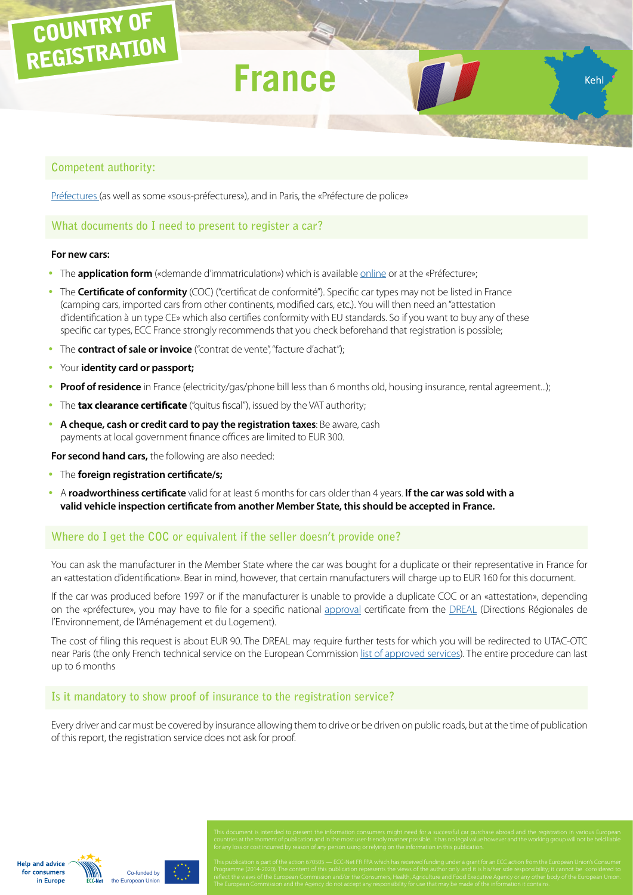# COUNTRY OF REGISTRATION

# **France**

Kehl

# **Competent authority:**

[Préfectures](http://www.interieur.gouv.fr/Le-ministere/Prefectures) (as well as some «sous-préfectures»), and in Paris, the «Préfecture de police»

#### **What documents do I need to present to register a car?**

#### **For new cars:**

- The **application form** («demande d'immatriculation») which is available **[online](https://www.service-public.fr/particuliers/vosdroits/R13567)** or at the «Préfecture»;
- The **Certificate of conformity** (COC) ("certificat de conformité"). Specific car types may not be listed in France (camping cars, imported cars from other continents, modified cars, etc.). You will then need an "attestation d'identification à un type CE» which also certifies conformity with EU standards. So if you want to buy any of these specific car types, ECC France strongly recommends that you check beforehand that registration is possible;
- The **contract of sale or invoice** ("contrat de vente", "facture d'achat");
- Your **identity card or passport;**
- Proof of residence in France (electricity/gas/phone bill less than 6 months old, housing insurance, rental agreement...);
- The **tax clearance certificate** ("quitus fiscal"), issued by the VAT authority;
- y **A cheque, cash or credit card to pay the registration taxes**: Be aware, cash payments at local government finance offices are limited to EUR 300.

**For second hand cars,** the following are also needed:

- y The **foreign registration certificate/s;**
- y A **roadworthiness certificate** valid for at least 6 months for cars older than 4 years. **If the car was sold with a valid vehicle inspection certificate from another Member State, this should be accepted in France.**

# **Where do I get the COC or equivalent if the seller doesn't provide one?**

You can ask the manufacturer in the Member State where the car was bought for a duplicate or their representative in France for an «attestation d'identification». Bear in mind, however, that certain manufacturers will charge up to EUR 160 for this document.

If the car was produced before 1997 or if the manufacturer is unable to provide a duplicate COC or an «attestation», depending on the «préfecture», you may have to file for a specific national [approval](http://www.developpement-durable.gouv.fr/La-reception-individuelle-ou.html) certificate from the [DREAL](http://www.developpement-durable.gouv.fr/Liste-des-21-DREAL) (Directions Régionales de l'Environnement, de l'Aménagement et du Logement).

The cost of filing this request is about EUR 90. The DREAL may require further tests for which you will be redirected to UTAC-OTC near Paris (the only French technical service on the European Commission [list of approved services\)](http://ec.europa.eu/DocsRoom/documents?tags=technical-service-auto&pageSize=30&sortCol=title&sortOrder=asc ). The entire procedure can last up to 6 months

# **Is it mandatory to show proof of insurance to the registration service?**

Every driver and car must be covered by insurance allowing them to drive or be driven on public roads, but at the time of publication of this report, the registration service does not ask for proof.